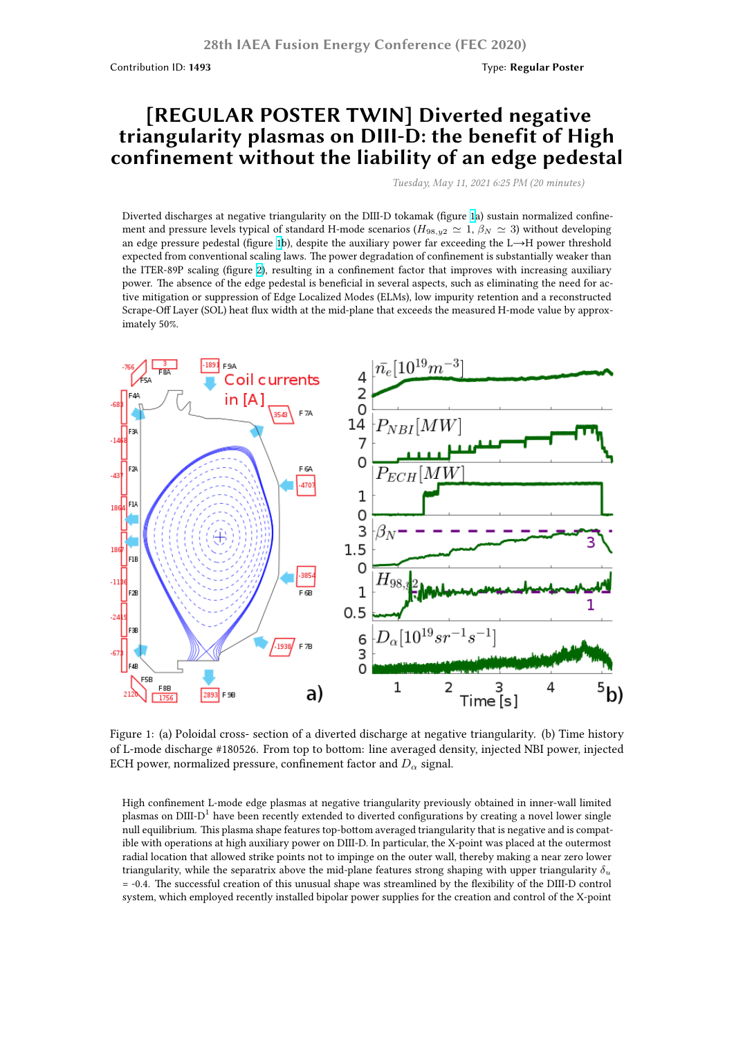## **[REGULAR POSTER TWIN] Diverted negative triangularity plasmas on DIII-D: the benefit of High confinement without the liability of an edge pedestal**

*Tuesday, May 11, 2021 6:25 PM (20 minutes)*

Diverted discharges at negative triangularity on the DIII-D tokamak (figure 1a) sustain normalized confinement and pressure levels typical of standard H-mode scenarios ( $H_{98,y2} \simeq 1$ ,  $\beta_N \simeq 3$ ) without developing an edge pressure pedestal (figure 1b), despite the auxiliary power far exceeding the L→H power threshold expected from conventional scaling laws. The power degradation of confinement is substantially weaker than the ITER-89P scaling (figure 2), resulting in a confinement factor that improves with increasing auxiliary power. The absence of the edge pedestal is beneficial in several aspects, suc[h a](https://fusion.gat.com/conference/event/104/attachments/161/1546/Marinoni.Alessandro.IAEA2020.Fig1.png)s eliminating the need for active mitigation or suppression of Edge Localized Modes (ELMs), low impurity retention and a reconstructed Scrape-Off Layer (SOL) heat flux [wi](https://fusion.gat.com/conference/event/104/attachments/161/1546/Marinoni.Alessandro.IAEA2020.Fig1.png)dth at the mid-plane that exceeds the measured H-mode value by approximately 50%.



Figure 1: (a) Poloidal cross- section of a diverted discharge at negative triangularity. (b) Time history of L-mode discharge #180526. From top to bottom: line averaged density, injected NBI power, injected ECH power, normalized pressure, confinement factor and  $D_{\alpha}$  signal.

High confinement L-mode edge plasmas at negative triangularity previously obtained in inner-wall limited plasmas on DIII-D $^1$  have been recently extended to diverted configurations by creating a novel lower single null equilibrium. This plasma shape features top-bottom averaged triangularity that is negative and is compatible with operations at high auxiliary power on DIII-D. In particular, the X-point was placed at the outermost radial location that allowed strike points not to impinge on the outer wall, thereby making a near zero lower triangularity, while the separatrix above the mid-plane features strong shaping with upper triangularity *δ<sup>u</sup>* = -0.4. The successful creation of this unusual shape was streamlined by the flexibility of the DIII-D control system, which employed recently installed bipolar power supplies for the creation and control of the X-point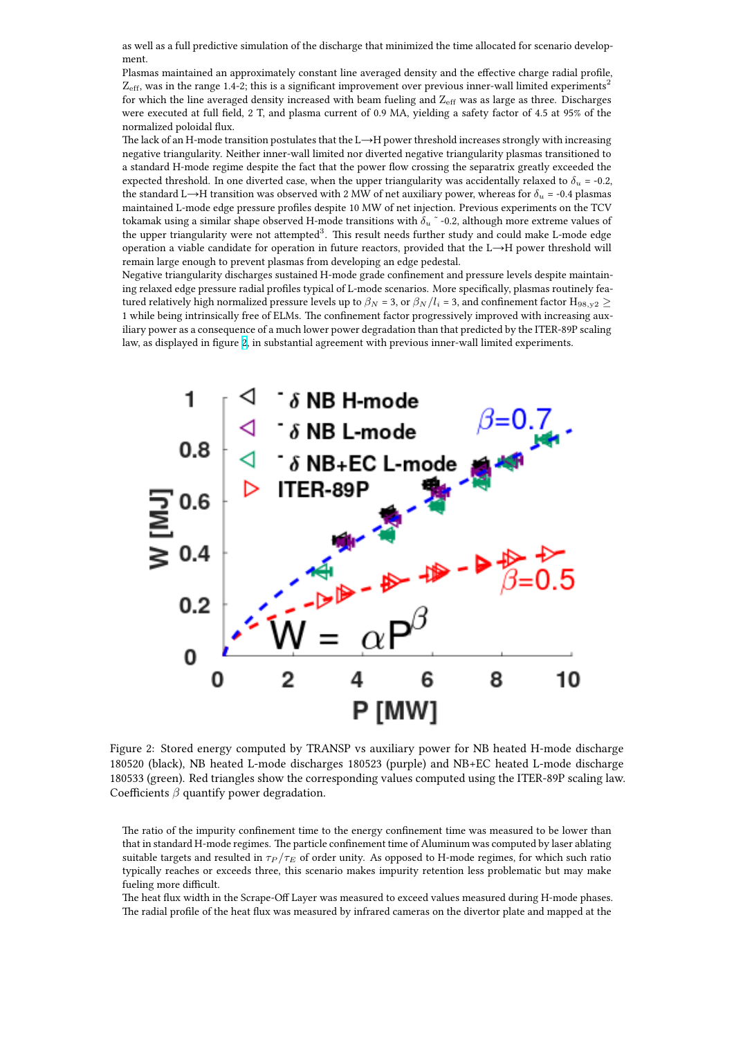\*\*\*\*\*\*\*\*

Plasmas maintained an approximately constant line averaged density and the effective charge radial profile,  $Z_{\text{eff}}$ , was in the range 1.4-2; this is a significant improvement over previous inner-wall limited experiments<sup>2</sup> for which the line averaged density increased with beam fueling and  $Z_{\text{eff}}$  was as large as three. Discharges were executed at full field, 2 T, and plasma current of 0.9 MA, yielding a safety factor of 4.5 at 95% of the normalized poloidal flux.

The lack of an H-mode transition postulates that the L→H power threshold increases strongly with increasing negative triangularity. Neither inner-wall limited nor diverted negative triangularity plasmas transitioned to a standard H-mode regime despite the fact that the power flow crossing the separatrix greatly exceeded the expected threshold. In one diverted case, when the upper triangularity was accidentally relaxed to  $\delta_u$  = -0.2, the standard L→H transition was observed with 2 MW of net auxiliary power, whereas for  $\delta u = -0.4$  plasmas maintained L-mode edge pressure profiles despite 10 MW of net injection. Previous experiments on the TCV tokamak using a similar shape observed H-mode transitions with *δ<sup>u</sup>* ˜ -0.2, although more extreme values of the upper triangularity were not attempted<sup>3</sup>. This result needs further study and could make L-mode edge operation a viable candidate for operation in future reactors, provided that the L→H power threshold will remain large enough to prevent plasmas from developing an edge pedestal.

Negative triangularity discharges sustained H-mode grade confinement and pressure levels despite maintaining relaxed edge pressure radial profiles typical of L-mode scenarios. More specifically, plasmas routinely featured relatively high normalized pressure levels up to  $\beta_N$  = 3, or  $\beta_N/l_i$  = 3, and confinement factor  $\rm H_{98,y2}$   $\geq$ 1 while being intrinsically free of ELMs. The confinement factor progressively improved with increasing auxiliary power as a consequence of a much lower power degradation than that predicted by the ITER-89P scaling law, as displayed in figure 2, in substantial agreement with previous inner-wall limited experiments.



Figure 2: Stored energy computed by TRANSP vs auxiliary power for NB heated H-mode discharge 180520 (black), NB heated L-mode discharges 180523 (purple) and NB+EC heated L-mode discharge 180533 (green). Red triangles show the corresponding values computed using the ITER-89P scaling law. Coefficients *β* quantify power degradation.

The ratio of the impurity confinement time to the energy confinement time was measured to be lower than that in standard H-mode regimes. The particle confinement time of Aluminum was computed by laser ablating suitable targets and resulted in  $\tau_P/\tau_E$  of order unity. As opposed to H-mode regimes, for which such ratio typically reaches or exceeds three, this scenario makes impurity retention less problematic but may make fueling more difficult.

The heat flux width in the Scrape-Off Layer was measured to exceed values measured during H-mode phases. The radial profile of the heat flux was measured by infrared cameras on the divertor plate and mapped at the